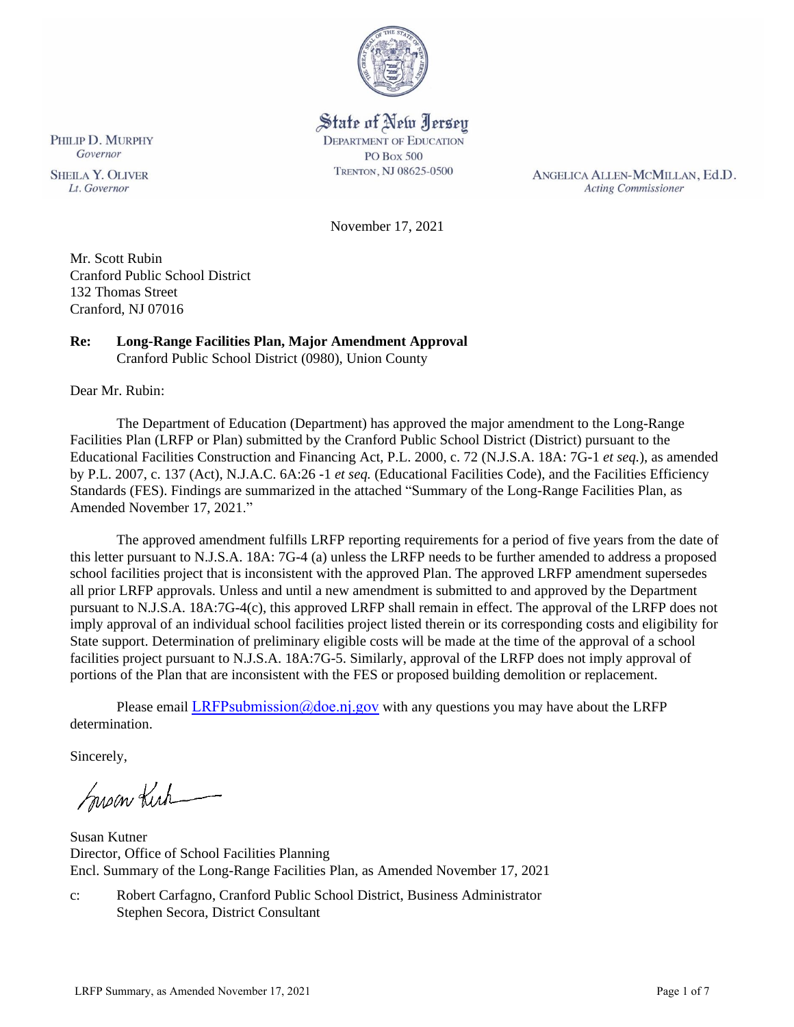

# State of New Jersey

**DEPARTMENT OF EDUCATION PO Box 500** TRENTON, NJ 08625-0500

ANGELICA ALLEN-MCMILLAN, Ed.D. **Acting Commissioner** 

November 17, 2021

Mr. Scott Rubin Cranford Public School District 132 Thomas Street Cranford, NJ 07016

# **Re: Long-Range Facilities Plan, Major Amendment Approval**

Cranford Public School District (0980), Union County

Dear Mr. Rubin:

The Department of Education (Department) has approved the major amendment to the Long-Range Facilities Plan (LRFP or Plan) submitted by the Cranford Public School District (District) pursuant to the Educational Facilities Construction and Financing Act, P.L. 2000, c. 72 (N.J.S.A. 18A: 7G-1 *et seq.*), as amended by P.L. 2007, c. 137 (Act), N.J.A.C. 6A:26 -1 *et seq.* (Educational Facilities Code), and the Facilities Efficiency Standards (FES). Findings are summarized in the attached "Summary of the Long-Range Facilities Plan, as Amended November 17, 2021."

The approved amendment fulfills LRFP reporting requirements for a period of five years from the date of this letter pursuant to N.J.S.A. 18A: 7G-4 (a) unless the LRFP needs to be further amended to address a proposed school facilities project that is inconsistent with the approved Plan. The approved LRFP amendment supersedes all prior LRFP approvals. Unless and until a new amendment is submitted to and approved by the Department pursuant to N.J.S.A. 18A:7G-4(c), this approved LRFP shall remain in effect. The approval of the LRFP does not imply approval of an individual school facilities project listed therein or its corresponding costs and eligibility for State support. Determination of preliminary eligible costs will be made at the time of the approval of a school facilities project pursuant to N.J.S.A. 18A:7G-5. Similarly, approval of the LRFP does not imply approval of portions of the Plan that are inconsistent with the FES or proposed building demolition or replacement.

Please email LRFPsubmission  $@doen$  i.gov with any questions you may have about the LRFP determination.

Sincerely,

Susan Kich

Susan Kutner Director, Office of School Facilities Planning Encl. Summary of the Long-Range Facilities Plan, as Amended November 17, 2021

c: Robert Carfagno, Cranford Public School District, Business Administrator Stephen Secora, District Consultant

**SHEILA Y. OLIVER** 

Lt. Governor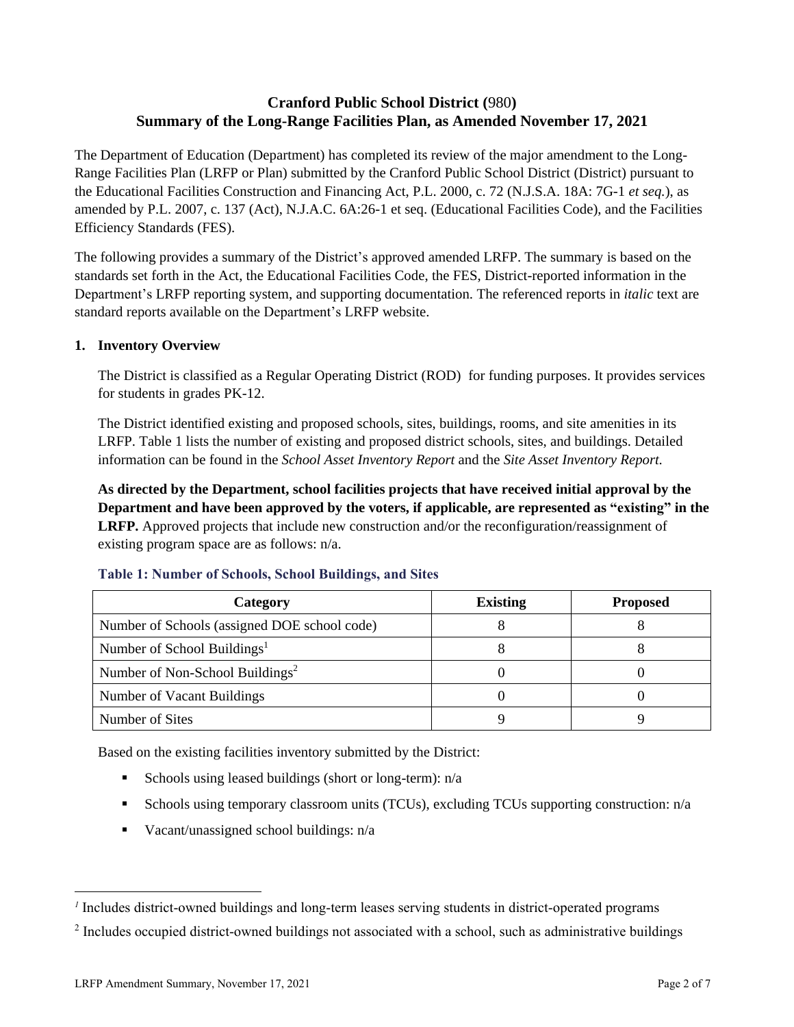# **Cranford Public School District (**980**) Summary of the Long-Range Facilities Plan, as Amended November 17, 2021**

The Department of Education (Department) has completed its review of the major amendment to the Long-Range Facilities Plan (LRFP or Plan) submitted by the Cranford Public School District (District) pursuant to the Educational Facilities Construction and Financing Act, P.L. 2000, c. 72 (N.J.S.A. 18A: 7G-1 *et seq.*), as amended by P.L. 2007, c. 137 (Act), N.J.A.C. 6A:26-1 et seq. (Educational Facilities Code), and the Facilities Efficiency Standards (FES).

The following provides a summary of the District's approved amended LRFP. The summary is based on the standards set forth in the Act, the Educational Facilities Code, the FES, District-reported information in the Department's LRFP reporting system, and supporting documentation. The referenced reports in *italic* text are standard reports available on the Department's LRFP website.

#### **1. Inventory Overview**

The District is classified as a Regular Operating District (ROD) for funding purposes. It provides services for students in grades PK-12.

The District identified existing and proposed schools, sites, buildings, rooms, and site amenities in its LRFP. Table 1 lists the number of existing and proposed district schools, sites, and buildings. Detailed information can be found in the *School Asset Inventory Report* and the *Site Asset Inventory Report.*

**As directed by the Department, school facilities projects that have received initial approval by the Department and have been approved by the voters, if applicable, are represented as "existing" in the LRFP.** Approved projects that include new construction and/or the reconfiguration/reassignment of existing program space are as follows: n/a.

| Category                                     | <b>Existing</b> | <b>Proposed</b> |
|----------------------------------------------|-----------------|-----------------|
| Number of Schools (assigned DOE school code) |                 |                 |
| Number of School Buildings <sup>1</sup>      |                 |                 |
| Number of Non-School Buildings <sup>2</sup>  |                 |                 |
| Number of Vacant Buildings                   |                 |                 |
| Number of Sites                              |                 |                 |

#### **Table 1: Number of Schools, School Buildings, and Sites**

Based on the existing facilities inventory submitted by the District:

- **•** Schools using leased buildings (short or long-term):  $n/a$
- Schools using temporary classroom units (TCUs), excluding TCUs supporting construction: n/a
- $\blacksquare$  Vacant/unassigned school buildings:  $n/a$

*<sup>1</sup>* Includes district-owned buildings and long-term leases serving students in district-operated programs

 $2$  Includes occupied district-owned buildings not associated with a school, such as administrative buildings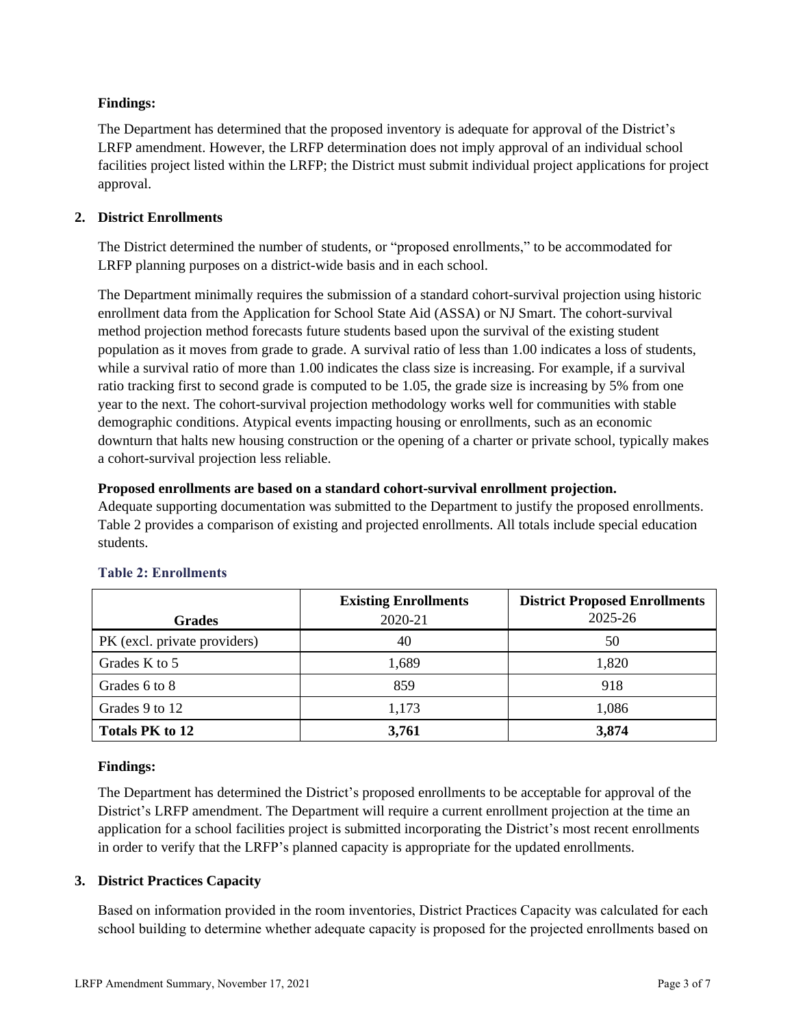## **Findings:**

The Department has determined that the proposed inventory is adequate for approval of the District's LRFP amendment. However, the LRFP determination does not imply approval of an individual school facilities project listed within the LRFP; the District must submit individual project applications for project approval.

## **2. District Enrollments**

The District determined the number of students, or "proposed enrollments," to be accommodated for LRFP planning purposes on a district-wide basis and in each school.

The Department minimally requires the submission of a standard cohort-survival projection using historic enrollment data from the Application for School State Aid (ASSA) or NJ Smart. The cohort-survival method projection method forecasts future students based upon the survival of the existing student population as it moves from grade to grade. A survival ratio of less than 1.00 indicates a loss of students, while a survival ratio of more than 1.00 indicates the class size is increasing. For example, if a survival ratio tracking first to second grade is computed to be 1.05, the grade size is increasing by 5% from one year to the next. The cohort-survival projection methodology works well for communities with stable demographic conditions. Atypical events impacting housing or enrollments, such as an economic downturn that halts new housing construction or the opening of a charter or private school, typically makes a cohort-survival projection less reliable.

## **Proposed enrollments are based on a standard cohort-survival enrollment projection.**

Adequate supporting documentation was submitted to the Department to justify the proposed enrollments. Table 2 provides a comparison of existing and projected enrollments. All totals include special education students.

|                              | <b>Existing Enrollments</b> | <b>District Proposed Enrollments</b> |
|------------------------------|-----------------------------|--------------------------------------|
| <b>Grades</b>                | 2020-21                     | 2025-26                              |
| PK (excl. private providers) | 40                          | 50                                   |
| Grades K to 5                | 1,689                       | 1,820                                |
| Grades 6 to 8                | 859                         | 918                                  |
| Grades 9 to 12               | 1,173                       | 1,086                                |
| <b>Totals PK to 12</b>       | 3,761                       | 3,874                                |

# **Table 2: Enrollments**

## **Findings:**

The Department has determined the District's proposed enrollments to be acceptable for approval of the District's LRFP amendment. The Department will require a current enrollment projection at the time an application for a school facilities project is submitted incorporating the District's most recent enrollments in order to verify that the LRFP's planned capacity is appropriate for the updated enrollments.

## **3. District Practices Capacity**

Based on information provided in the room inventories, District Practices Capacity was calculated for each school building to determine whether adequate capacity is proposed for the projected enrollments based on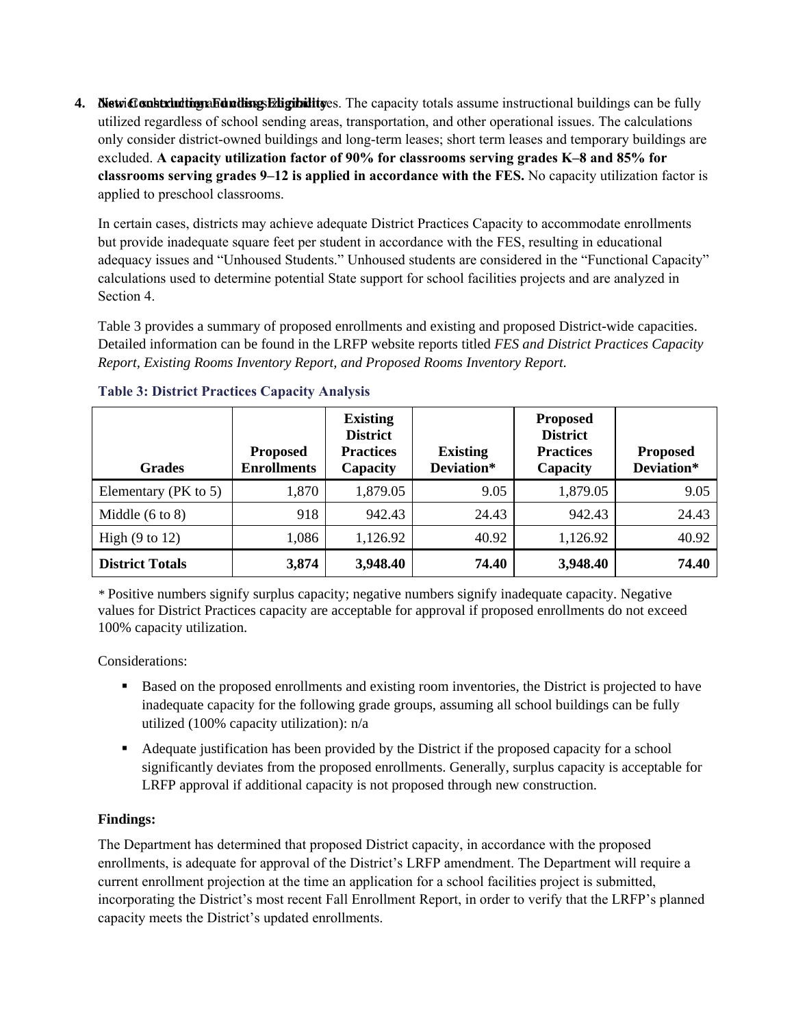4. New Construction **Fundings Eligibility** es. The capacity totals assume instructional buildings can be fully utilized regardless of school sending areas, transportation, and other operational issues. The calculations only consider district-owned buildings and long-term leases; short term leases and temporary buildings are excluded. **A capacity utilization factor of 90% for classrooms serving grades K–8 and 85% for classrooms serving grades 9–12 is applied in accordance with the FES.** No capacity utilization factor is applied to preschool classrooms.

In certain cases, districts may achieve adequate District Practices Capacity to accommodate enrollments but provide inadequate square feet per student in accordance with the FES, resulting in educational adequacy issues and "Unhoused Students." Unhoused students are considered in the "Functional Capacity" calculations used to determine potential State support for school facilities projects and are analyzed in Section 4.

Table 3 provides a summary of proposed enrollments and existing and proposed District-wide capacities. Detailed information can be found in the LRFP website reports titled *FES and District Practices Capacity Report, Existing Rooms Inventory Report, and Proposed Rooms Inventory Report.*

| <b>Grades</b>              | <b>Proposed</b><br><b>Enrollments</b> | <b>Existing</b><br><b>District</b><br><b>Practices</b><br>Capacity | <b>Existing</b><br>Deviation* | <b>Proposed</b><br><b>District</b><br><b>Practices</b><br>Capacity | <b>Proposed</b><br>Deviation* |
|----------------------------|---------------------------------------|--------------------------------------------------------------------|-------------------------------|--------------------------------------------------------------------|-------------------------------|
| Elementary (PK to 5)       | 1,870                                 | 1,879.05                                                           | 9.05                          | 1,879.05                                                           | 9.05                          |
| Middle $(6 \text{ to } 8)$ | 918                                   | 942.43                                                             | 24.43                         | 942.43                                                             | 24.43                         |
| High $(9 \text{ to } 12)$  | 1,086                                 | 1,126.92                                                           | 40.92                         | 1,126.92                                                           | 40.92                         |
| <b>District Totals</b>     | 3,874                                 | 3,948.40                                                           | 74.40                         | 3,948.40                                                           | 74.40                         |

## **Table 3: District Practices Capacity Analysis**

*\** Positive numbers signify surplus capacity; negative numbers signify inadequate capacity. Negative values for District Practices capacity are acceptable for approval if proposed enrollments do not exceed 100% capacity utilization.

Considerations:

- Based on the proposed enrollments and existing room inventories, the District is projected to have inadequate capacity for the following grade groups, assuming all school buildings can be fully utilized (100% capacity utilization): n/a
- Adequate justification has been provided by the District if the proposed capacity for a school significantly deviates from the proposed enrollments. Generally, surplus capacity is acceptable for LRFP approval if additional capacity is not proposed through new construction.

# **Findings:**

The Department has determined that proposed District capacity, in accordance with the proposed enrollments, is adequate for approval of the District's LRFP amendment. The Department will require a current enrollment projection at the time an application for a school facilities project is submitted, incorporating the District's most recent Fall Enrollment Report, in order to verify that the LRFP's planned capacity meets the District's updated enrollments.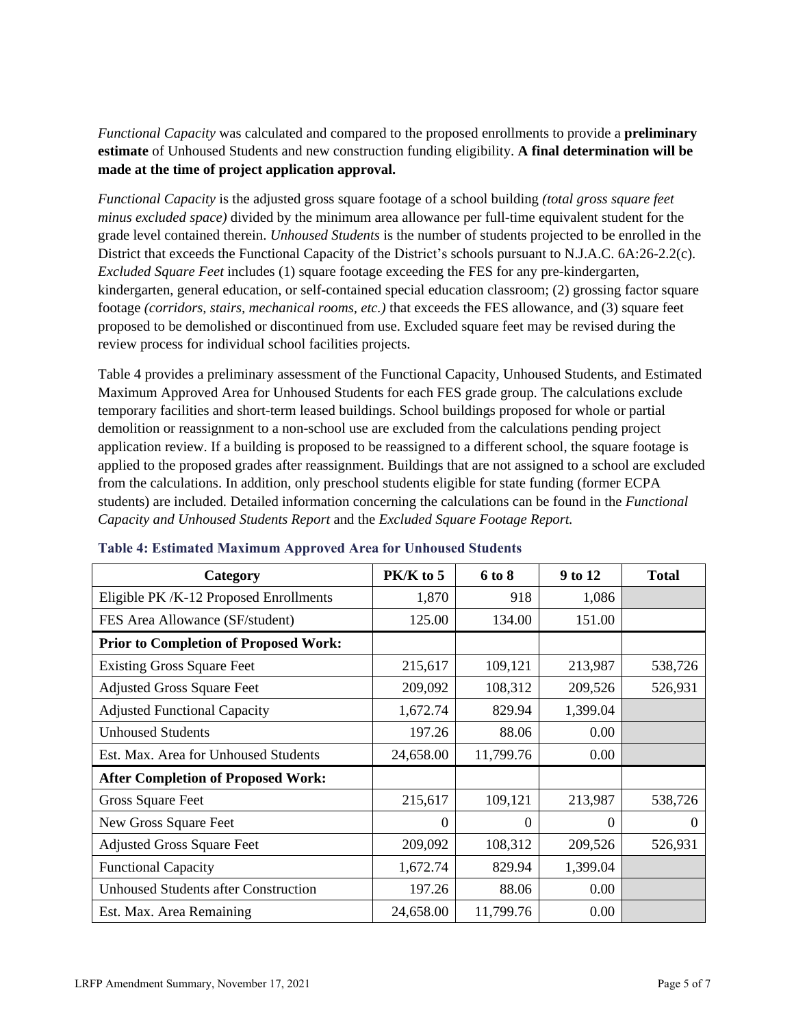*Functional Capacity* was calculated and compared to the proposed enrollments to provide a **preliminary estimate** of Unhoused Students and new construction funding eligibility. **A final determination will be made at the time of project application approval.**

*Functional Capacity* is the adjusted gross square footage of a school building *(total gross square feet minus excluded space)* divided by the minimum area allowance per full-time equivalent student for the grade level contained therein. *Unhoused Students* is the number of students projected to be enrolled in the District that exceeds the Functional Capacity of the District's schools pursuant to N.J.A.C. 6A:26-2.2(c). *Excluded Square Feet* includes (1) square footage exceeding the FES for any pre-kindergarten, kindergarten, general education, or self-contained special education classroom; (2) grossing factor square footage *(corridors, stairs, mechanical rooms, etc.)* that exceeds the FES allowance, and (3) square feet proposed to be demolished or discontinued from use. Excluded square feet may be revised during the review process for individual school facilities projects.

Table 4 provides a preliminary assessment of the Functional Capacity, Unhoused Students, and Estimated Maximum Approved Area for Unhoused Students for each FES grade group. The calculations exclude temporary facilities and short-term leased buildings. School buildings proposed for whole or partial demolition or reassignment to a non-school use are excluded from the calculations pending project application review. If a building is proposed to be reassigned to a different school, the square footage is applied to the proposed grades after reassignment. Buildings that are not assigned to a school are excluded from the calculations. In addition, only preschool students eligible for state funding (former ECPA students) are included. Detailed information concerning the calculations can be found in the *Functional Capacity and Unhoused Students Report* and the *Excluded Square Footage Report.*

| Category                                     | PK/K to 5 | 6 to 8    | 9 to 12  | <b>Total</b> |
|----------------------------------------------|-----------|-----------|----------|--------------|
| Eligible PK /K-12 Proposed Enrollments       | 1,870     | 918       | 1,086    |              |
| FES Area Allowance (SF/student)              | 125.00    | 134.00    | 151.00   |              |
| <b>Prior to Completion of Proposed Work:</b> |           |           |          |              |
| <b>Existing Gross Square Feet</b>            | 215,617   | 109,121   | 213,987  | 538,726      |
| <b>Adjusted Gross Square Feet</b>            | 209,092   | 108,312   | 209,526  | 526,931      |
| <b>Adjusted Functional Capacity</b>          | 1,672.74  | 829.94    | 1,399.04 |              |
| <b>Unhoused Students</b>                     | 197.26    | 88.06     | 0.00     |              |
| Est. Max. Area for Unhoused Students         | 24,658.00 | 11,799.76 | 0.00     |              |
| <b>After Completion of Proposed Work:</b>    |           |           |          |              |
| Gross Square Feet                            | 215,617   | 109,121   | 213,987  | 538,726      |
| New Gross Square Feet                        | $\theta$  | $\Omega$  | $\Omega$ | $\theta$     |
| <b>Adjusted Gross Square Feet</b>            | 209,092   | 108,312   | 209,526  | 526,931      |
| <b>Functional Capacity</b>                   | 1,672.74  | 829.94    | 1,399.04 |              |
| <b>Unhoused Students after Construction</b>  | 197.26    | 88.06     | 0.00     |              |
| Est. Max. Area Remaining                     | 24,658.00 | 11,799.76 | 0.00     |              |

#### **Table 4: Estimated Maximum Approved Area for Unhoused Students**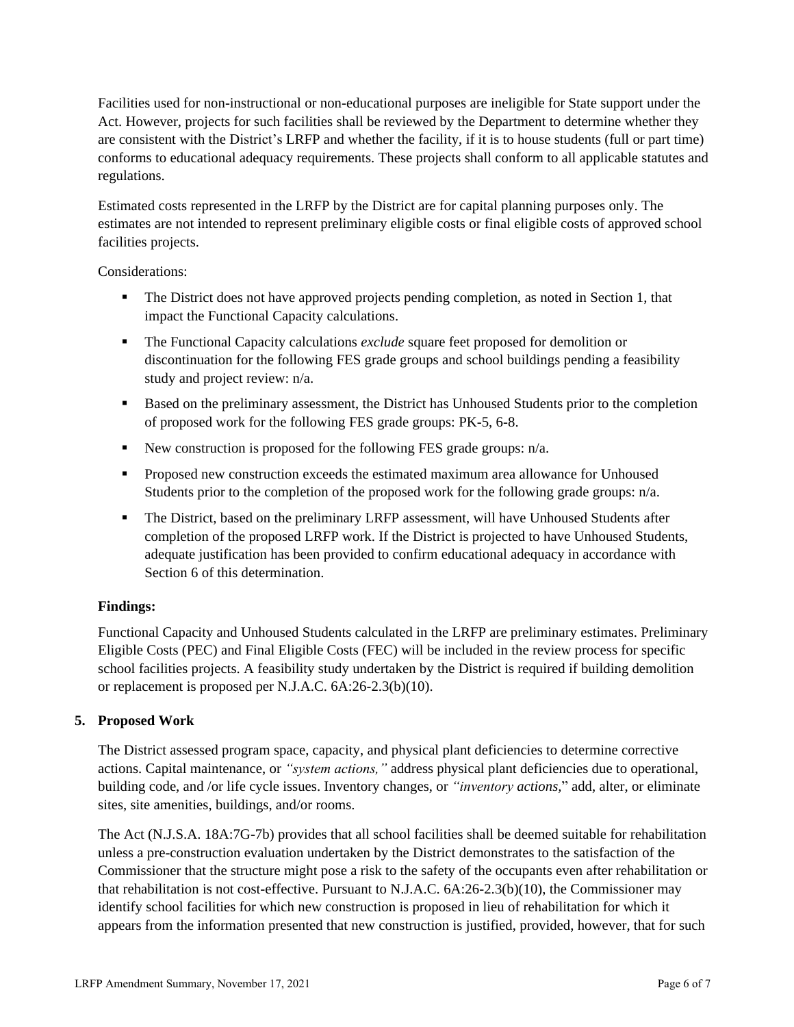Facilities used for non-instructional or non-educational purposes are ineligible for State support under the Act. However, projects for such facilities shall be reviewed by the Department to determine whether they are consistent with the District's LRFP and whether the facility, if it is to house students (full or part time) conforms to educational adequacy requirements. These projects shall conform to all applicable statutes and regulations.

Estimated costs represented in the LRFP by the District are for capital planning purposes only. The estimates are not intended to represent preliminary eligible costs or final eligible costs of approved school facilities projects.

Considerations:

- **•** The District does not have approved projects pending completion, as noted in Section 1, that impact the Functional Capacity calculations.
- The Functional Capacity calculations *exclude* square feet proposed for demolition or discontinuation for the following FES grade groups and school buildings pending a feasibility study and project review: n/a.
- Based on the preliminary assessment, the District has Unhoused Students prior to the completion of proposed work for the following FES grade groups: PK-5, 6-8.
- New construction is proposed for the following FES grade groups: n/a.
- Proposed new construction exceeds the estimated maximum area allowance for Unhoused Students prior to the completion of the proposed work for the following grade groups: n/a.
- **•** The District, based on the preliminary LRFP assessment, will have Unhoused Students after completion of the proposed LRFP work. If the District is projected to have Unhoused Students, adequate justification has been provided to confirm educational adequacy in accordance with Section 6 of this determination.

## **Findings:**

Functional Capacity and Unhoused Students calculated in the LRFP are preliminary estimates. Preliminary Eligible Costs (PEC) and Final Eligible Costs (FEC) will be included in the review process for specific school facilities projects. A feasibility study undertaken by the District is required if building demolition or replacement is proposed per N.J.A.C. 6A:26-2.3(b)(10).

## **5. Proposed Work**

The District assessed program space, capacity, and physical plant deficiencies to determine corrective actions. Capital maintenance, or *"system actions,"* address physical plant deficiencies due to operational, building code, and /or life cycle issues. Inventory changes, or *"inventory actions,*" add, alter, or eliminate sites, site amenities, buildings, and/or rooms.

The Act (N.J.S.A. 18A:7G-7b) provides that all school facilities shall be deemed suitable for rehabilitation unless a pre-construction evaluation undertaken by the District demonstrates to the satisfaction of the Commissioner that the structure might pose a risk to the safety of the occupants even after rehabilitation or that rehabilitation is not cost-effective. Pursuant to N.J.A.C. 6A:26-2.3(b)(10), the Commissioner may identify school facilities for which new construction is proposed in lieu of rehabilitation for which it appears from the information presented that new construction is justified, provided, however, that for such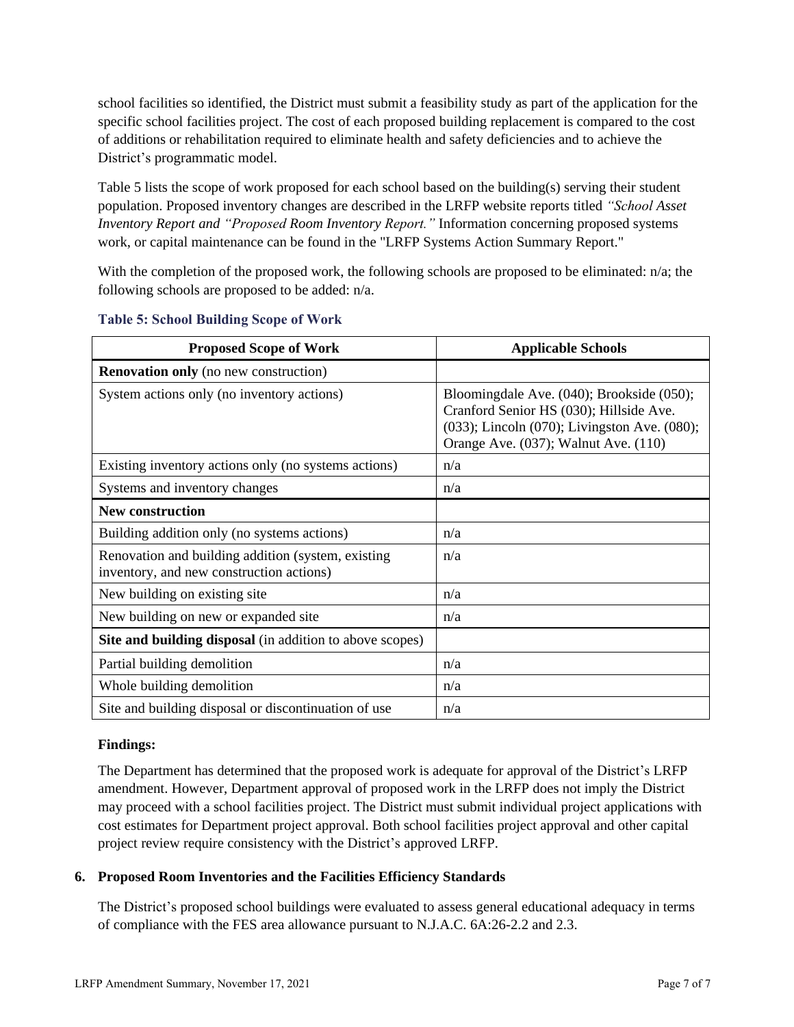school facilities so identified, the District must submit a feasibility study as part of the application for the specific school facilities project. The cost of each proposed building replacement is compared to the cost of additions or rehabilitation required to eliminate health and safety deficiencies and to achieve the District's programmatic model.

Table 5 lists the scope of work proposed for each school based on the building(s) serving their student population. Proposed inventory changes are described in the LRFP website reports titled *"School Asset Inventory Report and "Proposed Room Inventory Report."* Information concerning proposed systems work, or capital maintenance can be found in the "LRFP Systems Action Summary Report."

With the completion of the proposed work, the following schools are proposed to be eliminated: n/a; the following schools are proposed to be added: n/a.

| <b>Proposed Scope of Work</b>                                                                  | <b>Applicable Schools</b>                                                                                                                                                    |
|------------------------------------------------------------------------------------------------|------------------------------------------------------------------------------------------------------------------------------------------------------------------------------|
| <b>Renovation only</b> (no new construction)                                                   |                                                                                                                                                                              |
| System actions only (no inventory actions)                                                     | Bloomingdale Ave. (040); Brookside (050);<br>Cranford Senior HS (030); Hillside Ave.<br>(033); Lincoln (070); Livingston Ave. (080);<br>Orange Ave. (037); Walnut Ave. (110) |
| Existing inventory actions only (no systems actions)                                           | n/a                                                                                                                                                                          |
| Systems and inventory changes                                                                  | n/a                                                                                                                                                                          |
| <b>New construction</b>                                                                        |                                                                                                                                                                              |
| Building addition only (no systems actions)                                                    | n/a                                                                                                                                                                          |
| Renovation and building addition (system, existing<br>inventory, and new construction actions) | n/a                                                                                                                                                                          |
| New building on existing site                                                                  | n/a                                                                                                                                                                          |
| New building on new or expanded site                                                           | n/a                                                                                                                                                                          |
| Site and building disposal (in addition to above scopes)                                       |                                                                                                                                                                              |
| Partial building demolition                                                                    | n/a                                                                                                                                                                          |
| Whole building demolition                                                                      | n/a                                                                                                                                                                          |
| Site and building disposal or discontinuation of use                                           | n/a                                                                                                                                                                          |

#### **Table 5: School Building Scope of Work**

#### **Findings:**

The Department has determined that the proposed work is adequate for approval of the District's LRFP amendment. However, Department approval of proposed work in the LRFP does not imply the District may proceed with a school facilities project. The District must submit individual project applications with cost estimates for Department project approval. Both school facilities project approval and other capital project review require consistency with the District's approved LRFP.

## **6. Proposed Room Inventories and the Facilities Efficiency Standards**

The District's proposed school buildings were evaluated to assess general educational adequacy in terms of compliance with the FES area allowance pursuant to N.J.A.C. 6A:26-2.2 and 2.3.